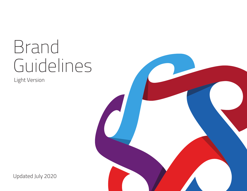# Brand Guidelines

Light Version

Updated July 2020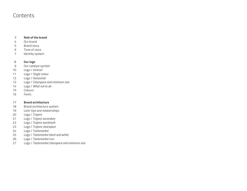#### **Contents**

#### **Role of the brand** 3

- Our brand 4
- Brand story 5
- 6 Tone of voice
- Identity system 7

#### **Our logo** 8

- Our catalyst symbol 9
- Logo / *Vertical* 10
- Logo / *Single colour* 11
- Logo / *Horizontal* 12
- Logo / *Clearspace and minimum size* 13
- Logo / *What not to do* 14
- Colours 15
- Fonts 16

#### **Brand architecture**  17

- Brand architecture system 18
- Lock-Ups and relationships 19
- 20 Logo / *Trojans*
- 21 Logo / *Trojans secondary*
- 22 Logo / *Trojans wordmark*
- 23 Logo / *Trojans clearspace*
- 24 Logo / *Tastemarket*
- 25 Logo / *Tastemarket black and white*
- 26 Logo / *Tastemarket icon*
- 27 Logo / *Tastemarket clearspace and minimum size*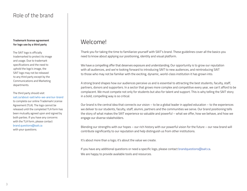#### Role of the brand

#### **Trademark license agreement for logo use by a third party**

The SAIT logo is officially trademarked to protect its image and usage. Due to trademark specifications and the need to uphold the logo's image, the SAIT logo may not be released to any third party except by the Communications and Marketing departments.

The third party should visit sait.ca/about-sait/who-we-are/our-brand to complete our online Trademark License Agreement (TLA). The logo cannot be released until the completed TLA form has been mutually agreed upon and signed by both parties. If you have any concerns with the TLA form, please contact brand.questions@sait.ca with your questions.

## Welcome!

Thank you for taking the time to familiarize yourself with SAIT's brand. These guidelines cover all the basics you need to know about applying our positioning, identity and visual platform.

We have a compelling offer that deserves exposure and understanding. Our opportunity is to grow our reputation with all audiences, and we're looking forward to introducing SAIT to new audiences, and reintroducing SAIT to those who may not be familiar with the exciting, dynamic, world-class institution it has grown into.

A strong brand shapes how our audiences perceive us and is essential to attracting the best students, faculty, staff, partners, donors and supporters. In a sector that grows more complex and competitive every year, we can't afford to be complacent. We must compete not only for students but also for talent and support. This is why telling the SAIT story in a bold, compelling way is so critical.

Our brand is the central idea that connects our vision – to be a global leader in applied education – to the experiences we deliver to our students, faculty, staff, alumni, partners and the communities we serve. Our brand positioning tells the story of what makes the SAIT experience so valuable and powerful – what we offer, how we behave, and how we engage our diverse stakeholders.

Blending our strengths with our hopes – our rich history with our powerful vision for the future – our new brand will contribute significantly to our reputation and help distinguish us from other institutions.

It's about more than a logo; it's about the value we create.

If you have any additional questions or need a specific logo, please contact brandquestions@sait.ca. We are happy to provide available tools and resources.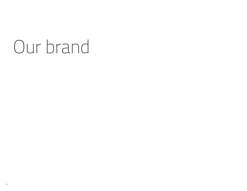# Our brand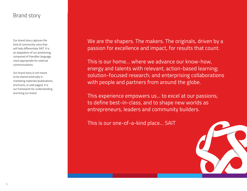#### Brand story

Our brand story captures the kind of community voice that will help differentiate SAIT. It is an adaptation of our positioning, composed of friendlier language more appropriate for external communications.

Our brand story is not meant to be shared externally in marketing materials (publications, brochures, or web pages). It is our framework for understanding and living our brand.

We are the shapers. The makers. The originals, driven by a passion for excellence and impact, for results that count.

This is our home… where we advance our know-how, energy and talents with relevant, action-based learning; solution-focused research; and enterprising collaborations with people and partners from around the globe.

This experience empowers us... to excel at our passions, to define best-in-class, and to shape new worlds as entrepreneurs, leaders and community builders.

This is our one-of-a-kind place… SAIT

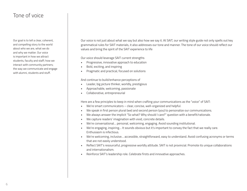#### Tone of voice

Our goal is to tell a clear, coherent, and compelling story to the world about who we are, what we do and why we matter. Our voice is important in how we attract students, faculty and staff; how we interact with community partners; the way we communicate and engage with alumni, students and stuff.

Our voice is not just about what we say but also how we say it. At SAIT, our writing style guide not only spells out key grammatical rules for SAIT materials, it also addresses our tone and manner. The tone of our voice should reflect our values and bring the spirit of the SAIT experience to life

Our voice should leverage SAIT current strengths

- Progressive, innovative approach to education
- Bold, exciting, and inspiring
- Pragmatic and practical, focused on solutions

And continue to build/enhance perceptions of

- Leader, big picture thinker, worldly, prestigious
- Approachable, welcoming, passionate
- Collaborative, entrepreneurial

Here are a few principles to keep in mind when crafting your communications as the "voice" of SAIT:

- We're smart communicators clear, concise, well-organized and helpful.
- We speak in first person plural (we) and second person (you) to personalize our communications.
- We always answer the implicit "So what? Why should I care?" question with a benefit/rationale.
- We capture readers' imagination with vivid, concrete details.
- We're conversational… personal, welcoming, engaging. Avoid sounding institutional.
- We're engaging, inspiring… It sounds obvious but it's important to convey the fact that we really care. Enthusiasm is infectious.
- We're welcoming, inclusive… accessible, straightforward, easy to understand. Avoid confusing acronyms or terms that are not easily understood.
- Reflect SAIT's resourceful, progressive worldly attitude. SAIT is not provincial. Promote its unique collaborations and internationalism.
- Reinforce SAIT's leadership role. Celebrate firsts and innovative approaches.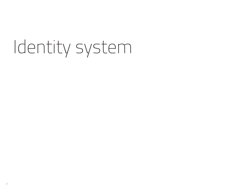# Identity system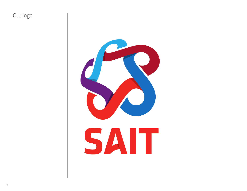## Our logo

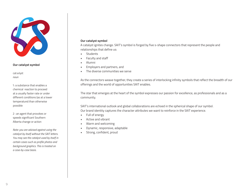

#### **Our catalyst symbol**

cat·a·lyst *noun*

1: a substance that enables a chemical reaction to proceed at a usually faster rate or under different conditions (as at a lower temperature) than otherwise possible

2 : an agent that provokes or speeds significant Southern Alberta change or action

• Strong, confident, proud *Note: you are advised against using the catalyst by itself without the SAIT letters. You may see the catalyst used by itself in certain cases such as profile photos and background graphics. This is treated on a case-by-case basis.*

#### **Our catalyst symbol**

A catalyst ignites change. SAIT's symbol is forged by five s-shape connectors that represent the people and relationships that define us:

- **Students**
- Faculty and staff
- Alumni
- Employers and partners, and
- The diverse communities we serve

As the connectors weave together, they create a series of interlocking infinity symbols that reflect the breadth of our offerings and the world of opportunities SAIT enables.

The star that emerges at the heart of the symbol expresses our passion for excellence, as professionals and as a community.

SAIT's international outlook and global collaborations are echoed in the spherical shape of our symbol. Our brand identity captures the character attributes we want to reinforce in the SAIT experience.

- Full of energy
- Active and vibrant
- Warm and welcoming
- Dynamic, responsive, adaptable
-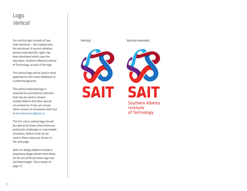#### Logo *Vertical*

Our vertical logo consists of two main elements – the Catalyst and the wordmark. A second variation, primary extended (far right), has been developed which uses the descriptor, Southern Alberta Institute of Technology, as part of the logo.

The vertical logo will be used in most applications and is best displayed on a white background.

The vertical extended logo is reserved for promotional materials that may be used or viewed outside Alberta and other special circumstances. If you are unsure which version to use please reach out to brandquestions@sait.ca.

The full-colour vertical logo should be used at all times unless there are production challenges or unavoidable situations. Options that can be used in these cases are shown on the next page.

*Note: our design platform includes a proprietary design element that allows for the use of the full-colour logo over full-bleed images. This is shown on page 31.*

Vertical Vertical extended



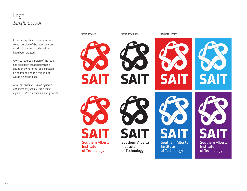### Logo *Single Colour*

In certain applications where the colour version of the logo can't be used, a black and a red version have been created.

A white reverse version of the logo has also been created for those situations where the logo is placed on an image and the colour logo would be hard to see.

*Note: the examples on the right are not boxes but just show the white logo on a different coloured backgrounds.*

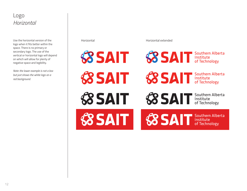#### Logo *Horizontal*

Use the horizontal version of the logo when it fits better within the space. There is no primary or secondary logo. The use of the vertical or horizontal logo will depend on which will allow for plenty of negative space and legibility.

*Note: the lower example is not a box but just shows the white logo on a red background.*

Horizontal Horizontal extended

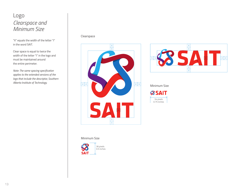### Logo *Clearspace and Minimum Size*

"X" equals the width of the letter "I" in the word SAIT.

Clear space is equal to twice the width of the letter "I" in the logo and must be maintained around the entire perimeter.

*Note: The same spacing specification applies to the extended versions of the logo that include the descriptor, Southern Alberta Institute of Technology.*

#### Clearspace





#### Minimum Size



#### Minimum Size

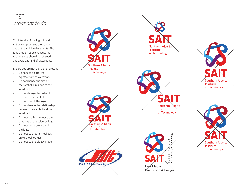## Logo *What n ot to do*

The i ntegrity of the logo should n ot be comp romised by changing a ny of the individual eleme nts. The f o nt should n ot be changed, the relationships should be r etained and a void a ny kind of distortions.

Ensure you are not doing the following:

- Do not use a different typefa ce for the w o rdmark.
- Do n ot change the si ze of the symbol in relation to the w o rdmark.
- Do n ot change the o rder of colours in the symbol.
- **•** Do not stretch the logo.
- Do n ot change the relationship b e t ween the symbol and the w o rdmark.
- Do not modify or remove the shad o ws of the colou red logo.
- Do not draw a box around the logo.
- Do n ot use program lockups, only school lockups.
- Do n ot use the old SAIT logo



southern Albe Institute of Technology

POLYTECHNIC

**Southern Alberta** Institute of Technology





Ne⁄w Media Production & Design



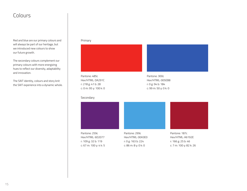#### **Colours**

Red and blue are our primary colours and will always be part of our heritage, but we introduced new colours to show our future growth.

The secondary colours complement our primary colours with more energizing hues to reflect our diversity, adaptability and innovation.

The SAIT identity, colours and story knit the SAIT experience into a dynamic whole.

#### Primary





Pantone: 259c Hex/HTML: 6D2077 r: 109 g: 32 b: 119 c: 67 m: 100 y: 4 k: 5

Pantone: 299c Hex/HTML: 00A3E0 r: 0 g: 163 b: 224 c: 86 m: 8 y: 0 k: 0

Pantone: 187c Hex/HTML: A6192E r: 166 g: 25 b: 46

c: 7 m: 100 y: 82 k: 26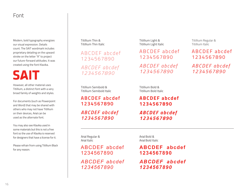#### Font

Modern, bold typography energizes our visual expression. Details count. The SAIT wordmark includes proprietary detailing on the upward stroke on the letter "A" to project our future-forward attitudes. It was created using the font Klavika.

## **SAIT**

However, all other material uses Titillium, a distinct font with a very broad family of weights and styles.

For documents (such as Powerpoint and Word) that may be shared with others who may not have Titillium on their devices, Arial can be used as the alternate font.

You may also see Klavika used in some materials but this is not a free font so the use of Klavika is reserved for designers that have a license for it.

Please refrain from using Titillium Black for any reason.

Titillium Thin & Titillium Thin Italic

ABCDEF abcdef 1234567890 *ABCDE F abcde f*

*1234567890*

Titillium Semibold & Titillium Semibold Italic

**ABC DEF abcdef 1234567890**

*ABC DEF abcdef 1234567890*

Titillium Light & Titillium Light Italic

AB CDEF a bcdef 1234567 890

*ABCDE F abcde f 1234567 890*

Titillium Bold & Titillium Bold Italic

**ABC DEF abcdef 1234567890**

*ABCDEF abcdef 1234567890*

Arial Regular & Arial Italic

ABCDEF abcdef 1234567890

*ABCDEF abcdef 1234567890*

Arial Bold & Arial Bold Italic

#### **ABCDEF abcdef 1234567890**

*ABCDEF abcdef 1234567890*

Titillium Regular & Titillium Italic

ABC DEF abcdef 123 4567 890

*ABCDE F a bcde f 123 4567 890*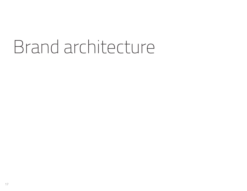## Brand architecture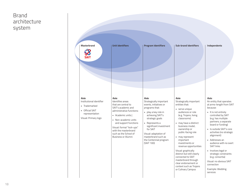#### Brand architecture system

| <b>Masterbrand</b>                                                                                              | <b>Unit identifiers</b>                                                                                                                                                                                                                                                                | <b>Program Identifiers</b>                                                                                                                                                                                                                                                                  | <b>Sub-brand Identifiers</b>                                                                                                                                                                                                                                                                                                                                                                                                                                         | Independents                                                                                                                                                                                                                                                                                                                                                                                                                                                                |
|-----------------------------------------------------------------------------------------------------------------|----------------------------------------------------------------------------------------------------------------------------------------------------------------------------------------------------------------------------------------------------------------------------------------|---------------------------------------------------------------------------------------------------------------------------------------------------------------------------------------------------------------------------------------------------------------------------------------------|----------------------------------------------------------------------------------------------------------------------------------------------------------------------------------------------------------------------------------------------------------------------------------------------------------------------------------------------------------------------------------------------------------------------------------------------------------------------|-----------------------------------------------------------------------------------------------------------------------------------------------------------------------------------------------------------------------------------------------------------------------------------------------------------------------------------------------------------------------------------------------------------------------------------------------------------------------------|
| Role:<br>Institutional identifier<br>· Trademarked<br>• Official SAIT<br>representation<br>Visual: Primary logo | Role:<br>Identifies areas<br>that are central to<br>SAIT's academic and<br>administrative functions:<br>• Academic units  <br>• Non-academic units<br>and support functions<br>Visual: formal "lock-ups"<br>with the masterbrand<br>such as the School of<br><b>Business or Alumni</b> | Role:<br>Strategically important<br>events, initiatives or<br>programs that:<br>· play a key role in<br>achieving SAIT's<br>strategic goals<br>• Represents a<br>significant investment<br>for SAIT<br>Visual: adaptation of<br>masterbrand such as<br>the Centennial program<br>(SAIT 100) | Role:<br>Strategically important<br>entities that:<br>serve unique<br>audiences or role<br>(e.g. Trojans, living<br>classrooms)<br>. may have a distinct<br>business model,<br>ownership or<br>public-facing role<br>may represent<br>important<br>investments or<br>revenue opportunities<br>Visual: graphically<br>distinct but still clearly<br>connected to SAIT<br>masterbrand through<br>clear endorsement or<br>context such as Trojans<br>or Culinary Campus | Role:<br>An entity that operates<br>at arms-length from SAIT<br>because:<br>• It is not entirely<br>controlled by SAIT<br>(e.g. has multiple<br>partners; a separate<br>board or funding)<br>· Is outside SAIT's core<br>activities (no strategic<br>alignment)<br>Addresses an<br>audience with no overt<br><b>SAIT links</b><br>· Involves legal or<br>strategic constraints<br>(e.g. consortia)<br>Visual: no obvious SAIT<br>connection<br>Example: Wedding<br>services |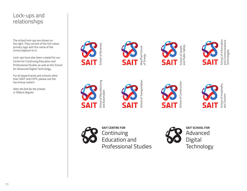#### Lock-ups and relationships

The school lock-ups are shown on the right. They consist of the full-colour primary logo with the name of the school adjacent to it.

Lock-ups have also been created for our Centre for Continuing Education and Professional Studies as well as the School for Advanced Digital Technology.

For all departments and schools other than SADT and CEPS, please use the top lockup system

*Note: the font for the schools is Titillium Regular.* 







School of Transportation School of Transportation

MacPhail School of Energy



School of Health<br>and Public Safety and Public Safety



Technologies





**SAIT CENTRE FOR** Continuing Education and Professional Studies



School of Construction

school of Construction

**SAIT SCHOOL FOR** Advanced Digital **Technology**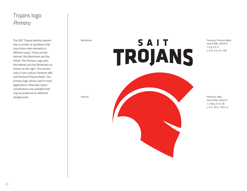## Trojans logo *Primary*

The SAIT Trojans identity system has a number of variations that uses three main elements in different ways. These are the Helmet, the Wordmark and the Shield. The Primary Logo uses the Helmet and the Wordmark as shown on the right. This version uses 2 core colours: Pantone 485 and Pantone Process Black. The primary logo will be used in most applications. Alternate colour combinations are available that may be preferred on different backgrounds.

Wordmark

## SAIT TROJANS

Pantone: Process Black Hex/HTML: DA291C r: 0 g: 0 b: 0 c: 0 m: 0 y: 0 k: 100

Helmet Pantone: 485c Hex/HTML: DA291C r: 218 g: 41 b: 28 c: 0 m: 95 y: 100 k: 0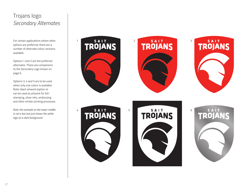## Trojans logo *Se condary Al terna tes*

For certain applications whe re other options are preferred, there are a number of alternate colour versions available.

available.<br>Options 1 and 2 are the preferred alternates. These a re companions to the Se condary Logo sh own on page 6.

Options 3, 4 and 5 a re to be used when only one colour is a vailable. N ote: black art work ( o ption 4) can be used as art work for foilstamping, silver inks, embossing and other similar printing processes.

*N ote: the example on the lo wer middle is not a box but just shows the white logo on a dark background.*

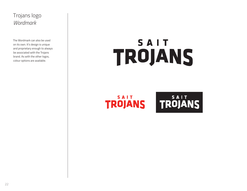## Trojans logo *Wordmark*

The Wordmark can also be used on its own. It's design is unique and proprietary enough to always be associated with the Trojans brand. As with the other logos, colour options are available.

## SAIT TROJANS

SAIT **TROJANS** 

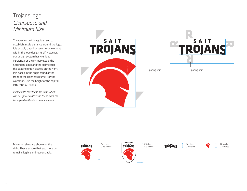## Trojans logo *Clearspace and Minimum Size*

The spacing unit is a guide used to establish a safe distance around the logo. It is usually based on a common element within the logo design itself. However, our design system has 4 unique versions. For the Primary Logo, the Secondary Logo and the Helmet use the spacing unit indicated on the right. It is based in the angle found at the front of the Helmet's plume. For the wordmark use the height of the capital letter "R" in Trojans.

*Please note that these are units which can be approximated and these rules can be applied to the Descriptors as well.*

SAIT **TROJANS** 



Minimum sizes are shown on the right. These ensure that each version remains legible and recognizable.







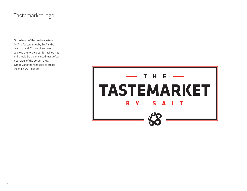#### Tastemarket logo

At the heart of the design system for The Tastemarket by SAIT is the masterbrand. The version shown below is the two-colour formal lock-up and should be the one used most often. It consists of the border, the SAIT symbol, and the font used to create the main SAIT identity.

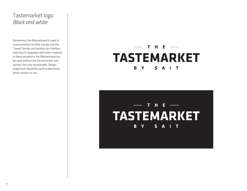### Tastemarket logo *Black and white*

Sometimes, the Masterbrand is used in close proximity to other visuals and the "boxed" border and symbol can interfere with how it integrates with other material. In these situations, the Masterbrand can be used without the formal border and symbol, but only occasionally. Design judgement should be used to determine which version to use.

#### $T$  H E  $-$ **TASTEMARKET**  $\mathbf{B}$  $\mathbf{V}$  $S$   $A$   $I$ T

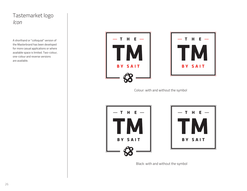### Tastemarket logo *Icon*

A shorthand or "colloquial" version of the Masterbrand has been developed for more casual applications or where available space is limited. Two-colour, one-colour and reverse versions are available.





Colour: with and without the symbol





Black: with and without the symbol